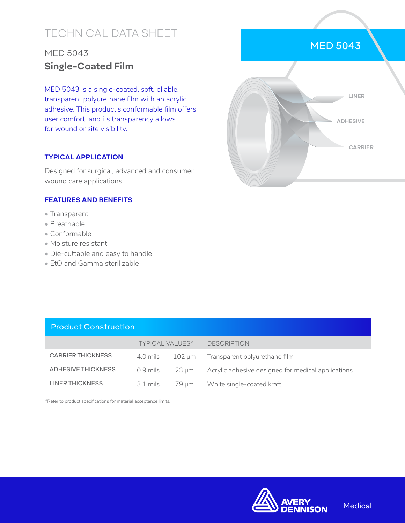# TECHNICAL DATA SHEET

## MED 5043 **Single-Coated Film**

MED 5043 is a single-coated, soft, pliable, transparent polyurethane film with an acrylic adhesive. This product's conformable film offers user comfort, and its transparency allows for wound or site visibility.

#### **TYPICAL APPLICATION**

Designed for surgical, advanced and consumer wound care applications

### **FEATURES AND BENEFITS**

- Transparent
- Breathable
- Conformable
- Moisture resistant
- Die-cuttable and easy to handle
- EtO and Gamma sterilizable

| <b>Product Construction</b> |                        |                 |                                                    |  |  |
|-----------------------------|------------------------|-----------------|----------------------------------------------------|--|--|
|                             | <b>TYPICAL VALUES*</b> |                 | <b>DESCRIPTION</b>                                 |  |  |
| <b>CARRIER THICKNESS</b>    | 4.0 mils               | $102 \mu m$     | Transparent polyurethane film                      |  |  |
| ADHESIVE THICKNESS          | $0.9$ mils             | $23 \text{ µm}$ | Acrylic adhesive designed for medical applications |  |  |
| LINER THICKNESS             | $3.1 \text{ miles}$    | 79 um           | White single-coated kraft                          |  |  |

\*Refer to product specifications for material acceptance limits.